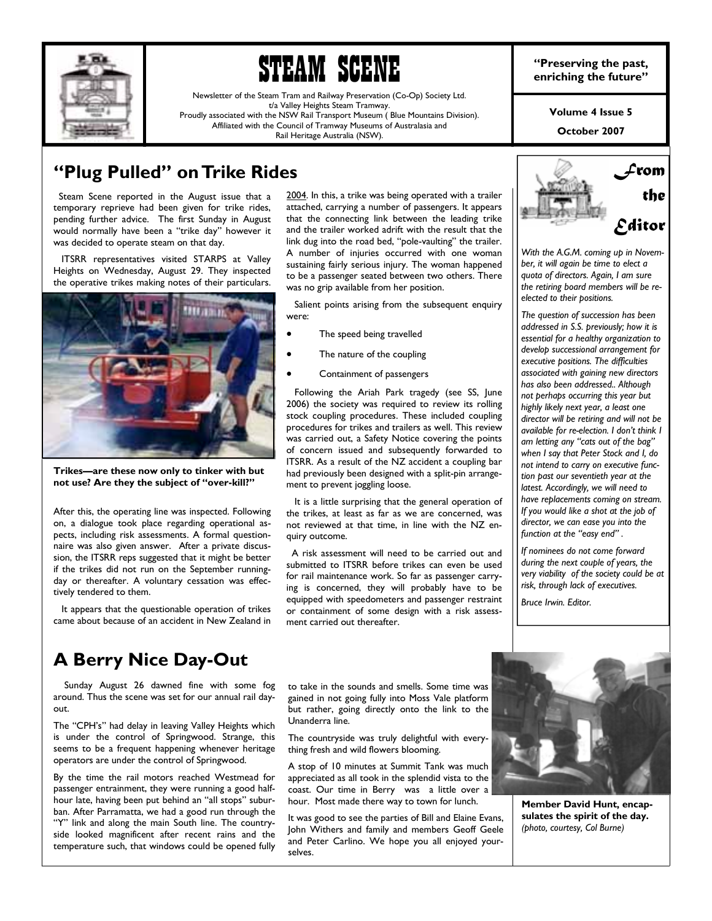



Newsletter of the Steam Tram and Railway Preservation (Co-Op) Society Ltd. t/a Valley Heights Steam Tramway. Proudly associated with the NSW Rail Transport Museum ( Blue Mountains Division). Affiliated with the Council of Tramway Museums of Australasia and Rail Heritage Australia (NSW).

**Volume 4 Issue 5** 

**October 2007** 

## **<sup>4</sup>Plug Pulled" on Trike Rides**

 Steam Scene reported in the August issue that a temporary reprieve had been given for trike rides, pending further advice. The first Sunday in August would normally have been a "trike day" however it was decided to operate steam on that day.

 ITSRR representatives visited STARPS at Valley Heights on Wednesday, August 29. They inspected the operative trikes making notes of their particulars.



Trikes-are these now only to tinker with but not use? Are they the subject of "over-kill?"

After this, the operating line was inspected. Following on, a dialogue took place regarding operational aspects, including risk assessments. A formal questionnaire was also given answer. After a private discussion, the ITSRR reps suggested that it might be better if the trikes did not run on the September runningday or thereafter. A voluntary cessation was effectively tendered to them.

 It appears that the questionable operation of trikes came about because of an accident in New Zealand in

2004. In this, a trike was being operated with a trailer attached, carrying a number of passengers. It appears that the connecting link between the leading trike and the trailer worked adrift with the result that the link dug into the road bed, "pole-vaulting" the trailer. A number of injuries occurred with one woman sustaining fairly serious injury. The woman happened to be a passenger seated between two others. There was no grip available from her position.

 Salient points arising from the subsequent enquiry were:

- The speed being travelled
- The nature of the coupling
- Containment of passengers

 Following the Ariah Park tragedy (see SS, June 2006) the society was required to review its rolling stock coupling procedures. These included coupling procedures for trikes and trailers as well. This review was carried out, a Safety Notice covering the points of concern issued and subsequently forwarded to ITSRR. As a result of the NZ accident a coupling bar had previously been designed with a split-pin arrangement to prevent joggling loose.

 It is a little surprising that the general operation of the trikes, at least as far as we are concerned, was not reviewed at that time, in line with the NZ enquiry outcome.

 A risk assessment will need to be carried out and submitted to ITSRR before trikes can even be used for rail maintenance work. So far as passenger carrying is concerned, they will probably have to be equipped with speedometers and passenger restraint or containment of some design with a risk assessment carried out thereafter.



*With the A.G.M. coming up in November, it will again be time to elect a quota of directors. Again, I am sure the retiring board members will be reelected to their positions.* 

*The question of succession has been addressed in S.S. previously; how it is essential for a healthy organization to develop successional arrangement for executive positions. The difficulties associated with gaining new directors has also been addressed.. Although not perhaps occurring this year but highly likely next year, a least one director will be retiring and will not be available for re-election. I donít think I*   $am$  letting any "cats out of the bag" *when I say that Peter Stock and I, do not intend to carry on executive function past our seventieth year at the latest. Accordingly, we will need to have replacements coming on stream. If you would like a shot at the job of director, we can ease you into the*  function at the "easy end".

*If nominees do not come forward during the next couple of years, the very viability of the society could be at risk, through lack of executives.* 

*Bruce Irwin. Editor.* 

## **A Berry Nice Day-Out**

 Sunday August 26 dawned fine with some fog around. Thus the scene was set for our annual rail dayout.

The "CPH's" had delay in leaving Valley Heights which is under the control of Springwood. Strange, this seems to be a frequent happening whenever heritage operators are under the control of Springwood.

By the time the rail motors reached Westmead for passenger entrainment, they were running a good halfhour late, having been put behind an "all stops" suburban. After Parramatta, we had a good run through the ìYî link and along the main South line. The countryside looked magnificent after recent rains and the temperature such, that windows could be opened fully

to take in the sounds and smells. Some time was gained in not going fully into Moss Vale platform but rather, going directly onto the link to the Unanderra line.

The countryside was truly delightful with everything fresh and wild flowers blooming.

A stop of 10 minutes at Summit Tank was much appreciated as all took in the splendid vista to the coast. Our time in Berry was a little over a hour. Most made there way to town for lunch.

It was good to see the parties of Bill and Elaine Evans, John Withers and family and members Geoff Geele and Peter Carlino. We hope you all enjoyed yourselves.



**Member David Hunt, encapsulates the spirit of the day.**  *(photo, courtesy, Col Burne)*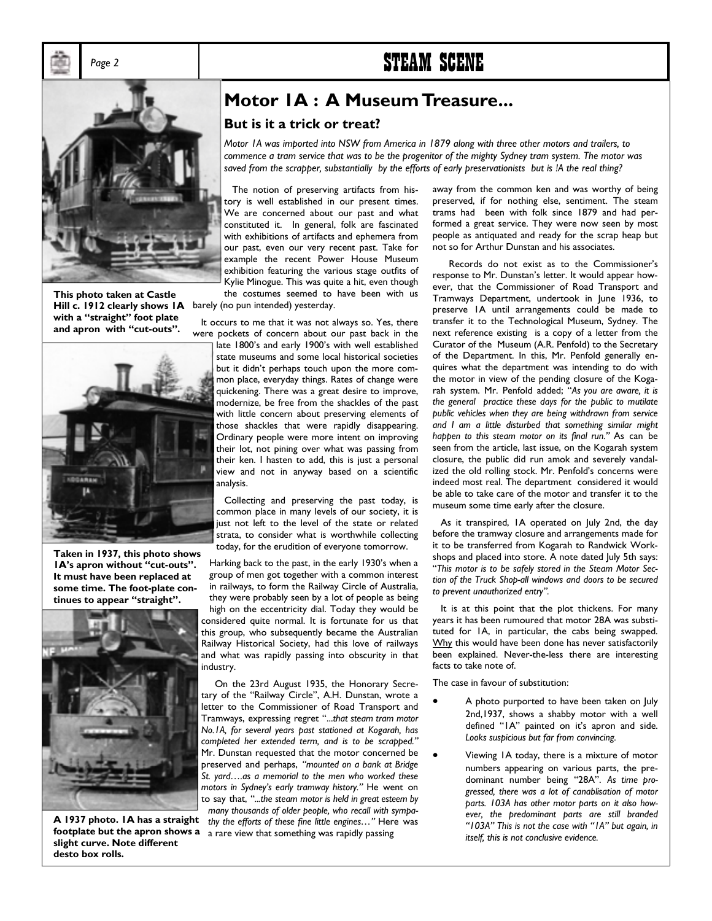# Page 2 **STEAM SCENE**



Hill c. 1912 clearly shows IA barely (no pun intended) yesterday. **This photo taken at Castle**  with a "straight" foot plate and apron with "cut-outs".



**Taken in 1937, this photo shows 1A's apron without "cut-outs". It must have been replaced at some time. The foot-plate con**tinues to appear "straight".



**slight curve. Note different desto box rolls.** 

## **Motor 1A : A Museum Treasure...**

#### **But is it a trick or treat?**

*Motor 1A was imported into NSW from America in 1879 along with three other motors and trailers, to commence a tram service that was to be the progenitor of the mighty Sydney tram system. The motor was saved from the scrapper, substantially by the efforts of early preservationists but is !A the real thing?* 

 The notion of preserving artifacts from history is well established in our present times. We are concerned about our past and what constituted it. In general, folk are fascinated with exhibitions of artifacts and ephemera from our past, even our very recent past. Take for example the recent Power House Museum exhibition featuring the various stage outfits of Kylie Minogue. This was quite a hit, even though the costumes seemed to have been with us

 It occurs to me that it was not always so. Yes, there were pockets of concern about our past back in the

late 1800's and early 1900's with well established state museums and some local historical societies but it didn't perhaps touch upon the more common place, everyday things. Rates of change were quickening. There was a great desire to improve, modernize, be free from the shackles of the past with little concern about preserving elements of those shackles that were rapidly disappearing. Ordinary people were more intent on improving their lot, not pining over what was passing from their ken. I hasten to add, this is just a personal view and not in anyway based on a scientific analysis.

 Collecting and preserving the past today, is common place in many levels of our society, it is just not left to the level of the state or related strata, to consider what is worthwhile collecting today, for the erudition of everyone tomorrow.

Harking back to the past, in the early 1930's when a group of men got together with a common interest in railways, to form the Railway Circle of Australia, they were probably seen by a lot of people as being high on the eccentricity dial. Today they would be considered quite normal. It is fortunate for us that this group, who subsequently became the Australian Railway Historical Society, had this love of railways and what was rapidly passing into obscurity in that industry.

 On the 23rd August 1935, the Honorary Secretary of the "Railway Circle", A.H. Dunstan, wrote a letter to the Commissioner of Road Transport and Tramways, expressing regret "...that steam tram motor *No.1A, for several years past stationed at Kogarah, has*  completed her extended term, and is to be scrapped." Mr. Dunstan requested that the motor concerned be preserved and perhaps, *ìmounted on a bank at Bridge*  St. yard....as a memorial to the men who worked these *motors in Sydneyís early tramway history.î* He went on to say that, "...the steam motor is held in great esteem by *many thousands of older people, who recall with sympa-***A 1937 photo. IA has a straight** thy the efforts of these fine little engines..." Here was footplate but the apron shows a <sub>a rare view that something was rapidly passing</sub>

away from the common ken and was worthy of being preserved, if for nothing else, sentiment. The steam trams had been with folk since 1879 and had performed a great service. They were now seen by most people as antiquated and ready for the scrap heap but not so for Arthur Dunstan and his associates.

Records do not exist as to the Commissioner's response to Mr. Dunstan's letter. It would appear however, that the Commissioner of Road Transport and Tramways Department, undertook in June 1936, to preserve 1A until arrangements could be made to transfer it to the Technological Museum, Sydney. The next reference existing is a copy of a letter from the Curator of the Museum (A.R. Penfold) to the Secretary of the Department. In this, Mr. Penfold generally enquires what the department was intending to do with the motor in view of the pending closure of the Kogarah system. Mr. Penfold added; "As you are aware, it is *the general practice these days for the public to mutilate public vehicles when they are being withdrawn from service and I am a little disturbed that something similar might happen to this steam motor on its final run.î* As can be seen from the article, last issue, on the Kogarah system closure, the public did run amok and severely vandalized the old rolling stock. Mr. Penfold's concerns were indeed most real. The department considered it would be able to take care of the motor and transfer it to the museum some time early after the closure.

 As it transpired, 1A operated on July 2nd, the day before the tramway closure and arrangements made for it to be transferred from Kogarah to Randwick Workshops and placed into store. A note dated July 5th says: ì*This motor is to be safely stored in the Steam Motor Section of the Truck Shop-all windows and doors to be secured*  to prevent unauthorized entry".

 It is at this point that the plot thickens. For many years it has been rumoured that motor 28A was substituted for 1A, in particular, the cabs being swapped. Why this would have been done has never satisfactorily been explained. Never-the-less there are interesting facts to take note of.

The case in favour of substitution:

- A photo purported to have been taken on July 2nd,1937, shows a shabby motor with a well defined "IA" painted on it's apron and side. *Looks suspicious but far from convincing.*
- Viewing 1A today, there is a mixture of motor numbers appearing on various parts, the predominant number being "28A". As time pro*gressed, there was a lot of canablisation of motor parts. 103A has other motor parts on it also however, the predominant parts are still branded ì103Aî This is not the case with ì1Aî but again, in itself, this is not conclusive evidence.*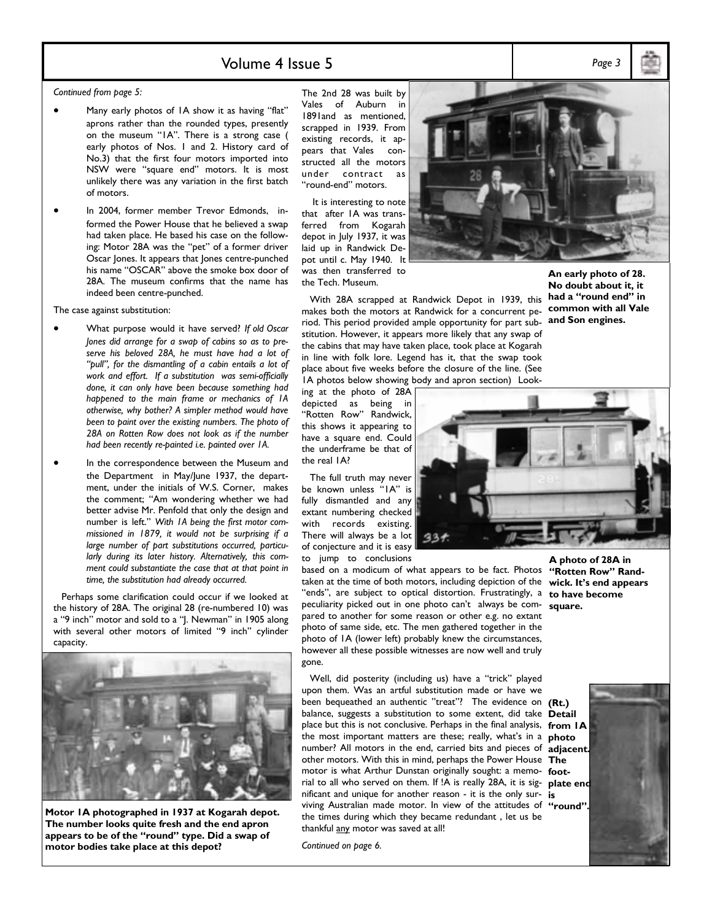## Volume 4 Issue 5 *Page 3*

*Continued from page 5:* 

- Many early photos of IA show it as having "flat" aprons rather than the rounded types, presently on the museum "IA". There is a strong case ( early photos of Nos. 1 and 2. History card of No.3) that the first four motors imported into NSW were "square end" motors. It is most unlikely there was any variation in the first batch of motors.
- In 2004, former member Trevor Edmonds, informed the Power House that he believed a swap had taken place. He based his case on the following: Motor 28A was the "pet" of a former driver Oscar Jones. It appears that Jones centre-punched his name "OSCAR" above the smoke box door of 28A. The museum confirms that the name has indeed been centre-punched.

The case against substitution:

- What purpose would it have served? *If old Oscar Jones did arrange for a swap of cabins so as to preserve his beloved 28A, he must have had a lot of ìpullî, for the dismantling of a cabin entails a lot of work and effort. If a substitution was semi-officially done, it can only have been because something had happened to the main frame or mechanics of 1A otherwise, why bother? A simpler method would have been to paint over the existing numbers. The photo of 28A on Rotten Row does not look as if the number had been recently re-painted i.e. painted over 1A.*
- In the correspondence between the Museum and the Department in May/June 1937, the department, under the initials of W.S. Corner, makes the comment; "Am wondering whether we had better advise Mr. Penfold that only the design and number is left." With IA being the first motor com*missioned in 1879, it would not be surprising if a large number of part substitutions occurred, particularly during its later history. Alternatively, this comment could substantiate the case that at that point in time, the substitution had already occurred.*

 Perhaps some clarification could occur if we looked at the history of 28A. The original 28 (re-numbered 10) was a "9 inch" motor and sold to a "J. Newman" in 1905 along with several other motors of limited "9 inch" cylinder capacity.



**Motor 1A photographed in 1937 at Kogarah depot. The number looks quite fresh and the end apron**  appears to be of the "round" type. Did a swap of **motor bodies take place at this depot?** 

The 2nd 28 was built by Vales of Auburn in 1891and as mentioned, scrapped in 1939. From existing records, it appears that Vales constructed all the motors under contract as "round-end" motors.

 It is interesting to note that after 1A was transferred from Kogarah depot in July 1937, it was laid up in Randwick Depot until c. May 1940. It was then transferred to the Tech. Museum.

 With 28A scrapped at Randwick Depot in 1939, this makes both the motors at Randwick for a concurrent period. This period provided ample opportunity for part substitution. However, it appears more likely that any swap of the cabins that may have taken place, took place at Kogarah in line with folk lore. Legend has it, that the swap took place about five weeks before the closure of the line. (See 1A photos below showing body and apron section) Look-

ing at the photo of 28A depicted as being in "Rotten Row" Randwick, this shows it appearing to have a square end. Could the underframe be that of the real 1A?

 The full truth may never be known unless "IA" is fully dismantled and any extant numbering checked with records existing. There will always be a lot of conjecture and it is easy to jump to conclusions

based on a modicum of what appears to be fact. Photos taken at the time of both motors, including depiction of the "ends", are subject to optical distortion. Frustratingly, a to have become peculiarity picked out in one photo canít always be com-**square.**  pared to another for some reason or other e.g. no extant photo of same side, etc. The men gathered together in the photo of 1A (lower left) probably knew the circumstances, however all these possible witnesses are now well and truly gone.

Well, did posterity (including us) have a "trick" played upon them. Was an artful substitution made or have we been bequeathed an authentic "treat"? The evidence on **(Rt.)** balance, suggests a substitution to some extent, did take **Detail**  place but this is not conclusive. Perhaps in the final analysis, **from 1A**  the most important matters are these; really, what's in a **photo** number? All motors in the end, carried bits and pieces of **adjacent.**  other motors. With this in mind, perhaps the Power House **The**  motor is what Arthur Dunstan originally sought: a memo-**foot**rial to all who served on them. If !A is really 28A, it is sig-**plate end**  nificant and unique for another reason - it is the only sur-**is**  viving Australian made motor. In view of the attitudes of "round". the times during which they became redundant , let us be thankful any motor was saved at all!

*Continued on page 6.* 



**An early photo of 28. No doubt about it, it**  had a "round end" in **common with all Vale and Son engines.** 



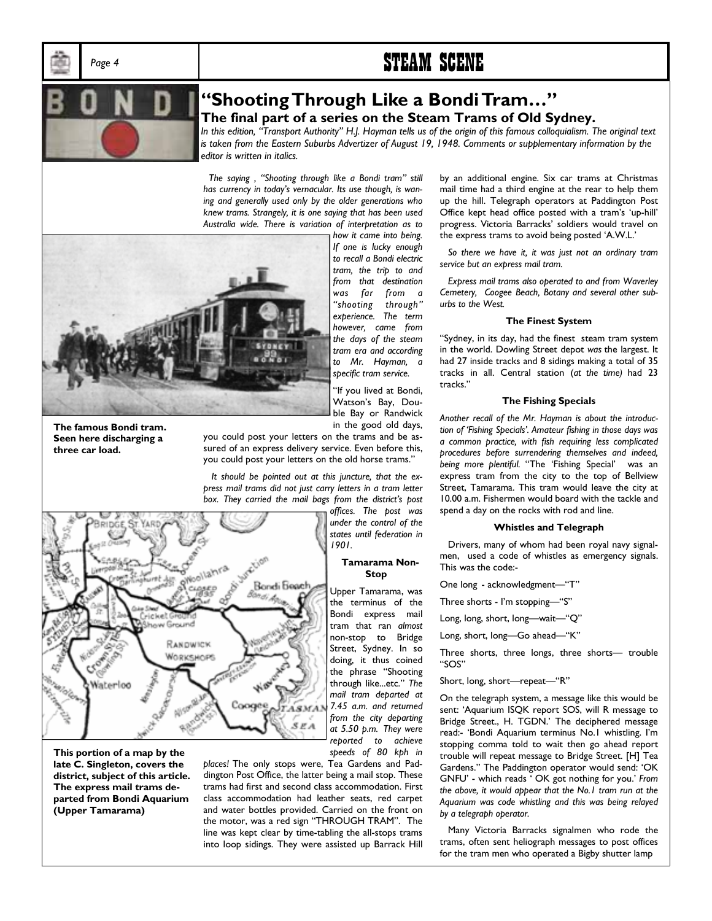# Page 4 **STEAM SCENE**



## **<sup>4</sup>Shooting Through Like a Bondi Tram...**" **The final part of a series on the Steam Trams of Old Sydney.**

In this edition, "Transport Authority" H.J. Hayman tells us of the origin of this famous colloquialism. The original text *is taken from the Eastern Suburbs Advertizer of August 19, 1948. Comments or supplementary information by the editor is written in italics.* 

The saying, "Shooting through like a Bondi tram" still *has currency in todayís vernacular. Its use though, is waning and generally used only by the older generations who knew trams. Strangely, it is one saying that has been used Australia wide. There is variation of interpretation as to* 



fricollahra

Geevind RANDWICK WORKSHOPS Bondi

*how it came into being. If one is lucky enough to recall a Bondi electric tram, the trip to and from that destination was far from a ìshooting throughî experience. The term however, came from the days of the steam tram era and according to Mr. Hayman, a specific tram service.* 

"If you lived at Bondi, Watson's Bay, Double Bay or Randwick in the good old days,

**The famous Bondi tram. Seen here discharging a three car load.** 

you could post your letters on the trams and be assured of an express delivery service. Even before this, you could post your letters on the old horse trams."

 *It should be pointed out at this juncture, that the express mail trams did not just carry letters in a tram letter*  box. They carried the mail bags from the district's post

> *offices. The post was under the control of the states until federation in 1901.*

#### **Tamarama Non-Stop**

Upper Tamarama, was the terminus of the Bondi express mail tram that ran *almost* non-stop to Bridge Street, Sydney. In so doing, it thus coined the phrase "Shooting through like...etc." The *mail tram departed at 7.45 a.m. and returned from the city departing at 5.50 p.m. They were reported to achieve speeds of 80 kph in* 



Waterloo

*places!* The only stops were, Tea Gardens and Paddington Post Office, the latter being a mail stop. These trams had first and second class accommodation. First class accommodation had leather seats, red carpet and water bottles provided. Carried on the front on the motor, was a red sign "THROUGH TRAM". The line was kept clear by time-tabling the all-stops trams into loop sidings. They were assisted up Barrack Hill

 $SEA$ 

by an additional engine. Six car trams at Christmas mail time had a third engine at the rear to help them up the hill. Telegraph operators at Paddington Post Office kept head office posted with a tram's 'up-hill' progress. Victoria Barracks' soldiers would travel on the express trams to avoid being posted 'A.W.L.'

 *So there we have it, it was just not an ordinary tram service but an express mail tram.* 

 *Express mail trams also operated to and from Waverley Cemetery, Coogee Beach, Botany and several other suburbs to the West.* 

#### **The Finest System**

"Sydney, in its day, had the finest steam tram system in the world. Dowling Street depot *was* the largest. It had 27 inside tracks and 8 sidings making a total of 35 tracks in all. Central station (*at the time)* had 23 tracks."

#### **The Fishing Specials**

*Another recall of the Mr. Hayman is about the introduction of ëFishing Specialsí. Amateur fishing in those days was a common practice, with fish requiring less complicated procedures before surrendering themselves and indeed,*  being more plentiful. "The 'Fishing Special' was an express tram from the city to the top of Bellview Street, Tamarama. This tram would leave the city at 10.00 a.m. Fishermen would board with the tackle and spend a day on the rocks with rod and line.

#### **Whistles and Telegraph**

 Drivers, many of whom had been royal navy signalmen, used a code of whistles as emergency signals. This was the code:-

One long - acknowledgment-"T"

Three shorts - I'm stopping-"S"

Long, long, short, long-wait-"Q"

Long, short, long-Go ahead-"K"

Three shorts, three longs, three shorts- trouble "SOS"

Short, long, short-repeat-"R"

On the telegraph system, a message like this would be sent: 'Aquarium ISQK report SOS, will R message to Bridge Street., H. TGDN.' The deciphered message read:- 'Bondi Aquarium terminus No.1 whistling. I'm stopping comma told to wait then go ahead report trouble will repeat message to Bridge Street. [H] Tea Gardens." The Paddington operator would send: 'OK GNFU' - which reads ' OK got nothing for you.' From *the above, it would appear that the No.1 tram run at the Aquarium was code whistling and this was being relayed by a telegraph operator.* 

Many Victoria Barracks signalmen who rode the trams, often sent heliograph messages to post offices for the tram men who operated a Bigby shutter lamp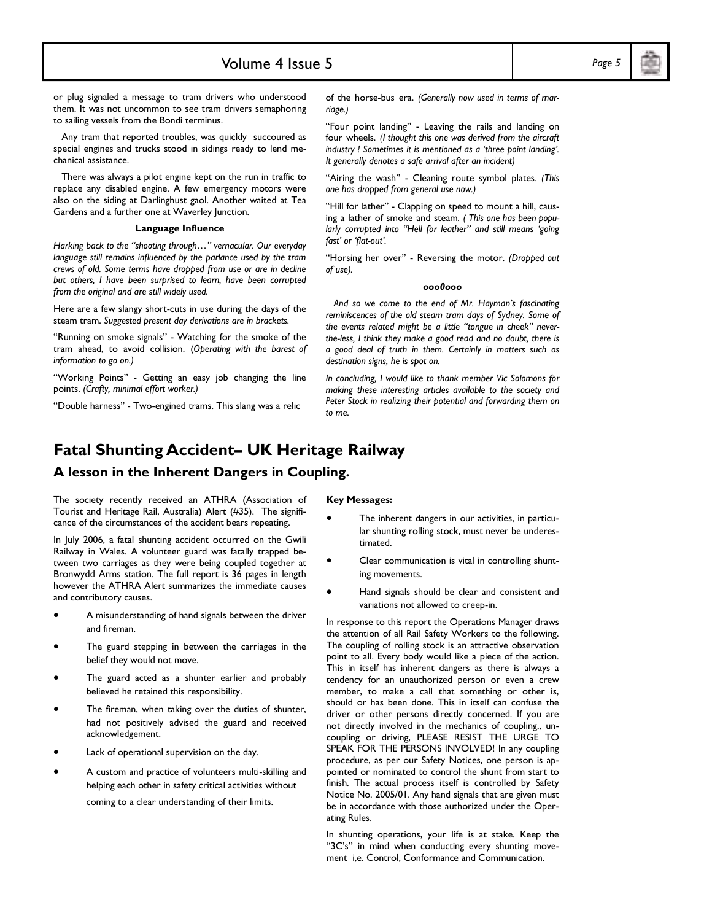## Volume 4 Issue 5 *Page 5*

or plug signaled a message to tram drivers who understood them. It was not uncommon to see tram drivers semaphoring to sailing vessels from the Bondi terminus.

 Any tram that reported troubles, was quickly succoured as special engines and trucks stood in sidings ready to lend mechanical assistance.

 There was always a pilot engine kept on the run in traffic to replace any disabled engine. A few emergency motors were also on the siding at Darlinghust gaol. Another waited at Tea Gardens and a further one at Waverley Junction.

#### **Language Influence**

*Harking back to the "shooting through..." vernacular. Our everyday language still remains influenced by the parlance used by the tram crews of old. Some terms have dropped from use or are in decline but others, I have been surprised to learn, have been corrupted from the original and are still widely used.* 

Here are a few slangy short-cuts in use during the days of the steam tram. *Suggested present day derivations are in brackets.* 

"Running on smoke signals" - Watching for the smoke of the tram ahead, to avoid collision. (*Operating with the barest of information to go on.)* 

"Working Points" - Getting an easy job changing the line points. *(Crafty, minimal effort worker.)* 

"Double harness" - Two-engined trams. This slang was a relic

of the horse-bus era. *(Generally now used in terms of marriage.)* 

ìFour point landingî - Leaving the rails and landing on four wheels. *(I thought this one was derived from the aircraft industry ! Sometimes it is mentioned as a ëthree point landingí. It generally denotes a safe arrival after an incident)* 

"Airing the wash" - Cleaning route symbol plates. (This *one has dropped from general use now.)* 

"Hill for lather" - Clapping on speed to mount a hill, causing a lather of smoke and steam. *( This one has been popularly corrupted into "Hell for leather" and still means 'going fastí or ëflat-outí.* 

ìHorsing her overî - Reversing the motor. *(Dropped out of use).* 

#### *ooo0ooo*

 *And so we come to the end of Mr. Haymanís fascinating reminiscences of the old steam tram days of Sydney. Some of*  the events related might be a little "tongue in cheek" never*the-less, I think they make a good read and no doubt, there is a good deal of truth in them. Certainly in matters such as destination signs, he is spot on.* 

*In concluding, I would like to thank member Vic Solomons for making these interesting articles available to the society and Peter Stock in realizing their potential and forwarding them on to me.* 

## **Fatal Shunting Accident– UK Heritage Railway**

#### **A lesson in the Inherent Dangers in Coupling.**

The society recently received an ATHRA (Association of Tourist and Heritage Rail, Australia) Alert (#35). The significance of the circumstances of the accident bears repeating.

In July 2006, a fatal shunting accident occurred on the Gwili Railway in Wales. A volunteer guard was fatally trapped between two carriages as they were being coupled together at Bronwydd Arms station. The full report is 36 pages in length however the ATHRA Alert summarizes the immediate causes and contributory causes.

- A misunderstanding of hand signals between the driver and fireman.
- The guard stepping in between the carriages in the belief they would not move.
- The guard acted as a shunter earlier and probably believed he retained this responsibility.
- The fireman, when taking over the duties of shunter, had not positively advised the guard and received acknowledgement.
- Lack of operational supervision on the day.
- A custom and practice of volunteers multi-skilling and helping each other in safety critical activities without

coming to a clear understanding of their limits.

#### **Key Messages:**

- The inherent dangers in our activities, in particular shunting rolling stock, must never be underestimated.
- Clear communication is vital in controlling shunting movements.
- Hand signals should be clear and consistent and variations not allowed to creep-in.

In response to this report the Operations Manager draws the attention of all Rail Safety Workers to the following. The coupling of rolling stock is an attractive observation point to all. Every body would like a piece of the action. This in itself has inherent dangers as there is always a tendency for an unauthorized person or even a crew member, to make a call that something or other is, should or has been done. This in itself can confuse the driver or other persons directly concerned. If you are not directly involved in the mechanics of coupling,, uncoupling or driving, PLEASE RESIST THE URGE TO SPEAK FOR THE PERSONS INVOLVED! In any coupling procedure, as per our Safety Notices, one person is appointed or nominated to control the shunt from start to finish. The actual process itself is controlled by Safety Notice No. 2005/01. Any hand signals that are given must be in accordance with those authorized under the Operating Rules.

In shunting operations, your life is at stake. Keep the "3C's" in mind when conducting every shunting movement i,e. Control, Conformance and Communication.